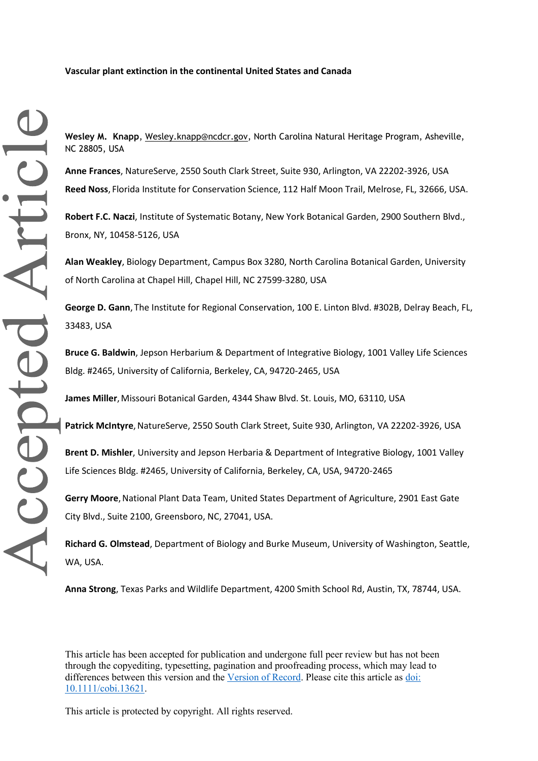## **Vascular plant extinction in the continental United States and Canada**

**Wesley M. Knapp**, [Wesley.knapp@ncdcr.gov,](mailto:Wesley.knapp@ncdcr.gov) North Carolina Natural Heritage Program, Asheville, NC 28805, USA

**Anne Frances**, NatureServe, 2550 South Clark Street, Suite 930, Arlington, VA 22202-3926, USA **Reed Noss**, Florida Institute for Conservation Science, 112 Half Moon Trail, Melrose, FL, 32666, USA.

**Robert F.C. Naczi**, Institute of Systematic Botany, New York Botanical Garden, 2900 Southern Blvd., Bronx, NY, 10458-5126, USA

**Alan Weakley**, Biology Department, Campus Box 3280, North Carolina Botanical Garden, University of North Carolina at Chapel Hill, Chapel Hill, NC 27599-3280, USA

**George D. Gann**, The Institute for Regional Conservation, 100 E. Linton Blvd. #302B, Delray Beach, FL, 33483, USA

**Bruce G. Baldwin**, Jepson Herbarium & Department of Integrative Biology, 1001 Valley Life Sciences Bldg. #2465, University of California, Berkeley, CA, 94720-2465, USA

James Miller, Missouri Botanical Garden, 4344 Shaw Blvd. St. Louis, MO, 63110, USA

Patrick McIntyre, NatureServe, 2550 South Clark Street, Suite 930, Arlington, VA 22202-3926, USA

**Brent D. Mishler**, University and Jepson Herbaria & Department of Integrative Biology, 1001 Valley Life Sciences Bldg. #2465, University of California, Berkeley, CA, USA, 94720-2465

Gerry Moore, National Plant Data Team, United States Department of Agriculture, 2901 East Gate City Blvd., Suite 2100, Greensboro, NC, 27041, USA.

**Richard G. Olmstead**, Department of Biology and Burke Museum, University of Washington, Seattle, WA, USA.

**Anna Strong**, Texas Parks and Wildlife Department, 4200 Smith School Rd, Austin, TX, 78744, USA.

This article has been accepted for publication and undergone full peer review but has not been through the copyediting, typesetting, pagination and proofreading process, which may lead to differences between this version and the [Version of Record.](https://doi.org/10.1111/cobi.13621) Please cite this article as [doi:](https://doi.org/10.1111/cobi.13621)  [10.1111/cobi.13621.](https://doi.org/10.1111/cobi.13621)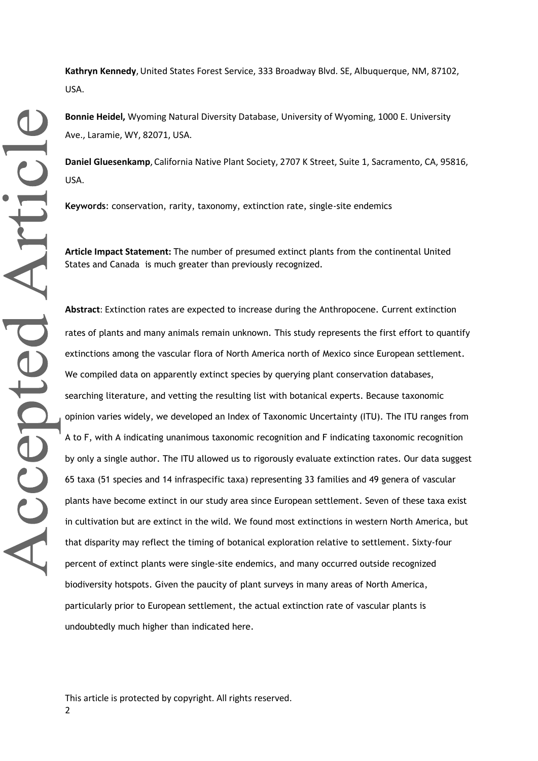**Bonnie Heidel,** Wyoming Natural Diversity Database, University of Wyoming, 1000 E. University Ave., Laramie, WY, 82071, USA.

**Daniel Gluesenkamp**, California Native Plant Society, 2707 K Street, Suite 1, Sacramento, CA, 95816, USA.

**Keywords**: conservation, rarity, taxonomy, extinction rate, single-site endemics

**Article Impact Statement:** The number of presumed extinct plants from the continental United States and Canada is much greater than previously recognized.

**Abstract**: Extinction rates are expected to increase during the Anthropocene. Current extinction rates of plants and many animals remain unknown. This study represents the first effort to quantify extinctions among the vascular flora of North America north of Mexico since European settlement. We compiled data on apparently extinct species by querying plant conservation databases, searching literature, and vetting the resulting list with botanical experts. Because taxonomic opinion varies widely, we developed an Index of Taxonomic Uncertainty (ITU). The ITU ranges from A to F, with A indicating unanimous taxonomic recognition and F indicating taxonomic recognition by only a single author. The ITU allowed us to rigorously evaluate extinction rates. Our data suggest 65 taxa (51 species and 14 infraspecific taxa) representing 33 families and 49 genera of vascular plants have become extinct in our study area since European settlement. Seven of these taxa exist in cultivation but are extinct in the wild. We found most extinctions in western North America, but that disparity may reflect the timing of botanical exploration relative to settlement. Sixty-four percent of extinct plants were single-site endemics, and many occurred outside recognized biodiversity hotspots. Given the paucity of plant surveys in many areas of North America, particularly prior to European settlement, the actual extinction rate of vascular plants is undoubtedly much higher than indicated here.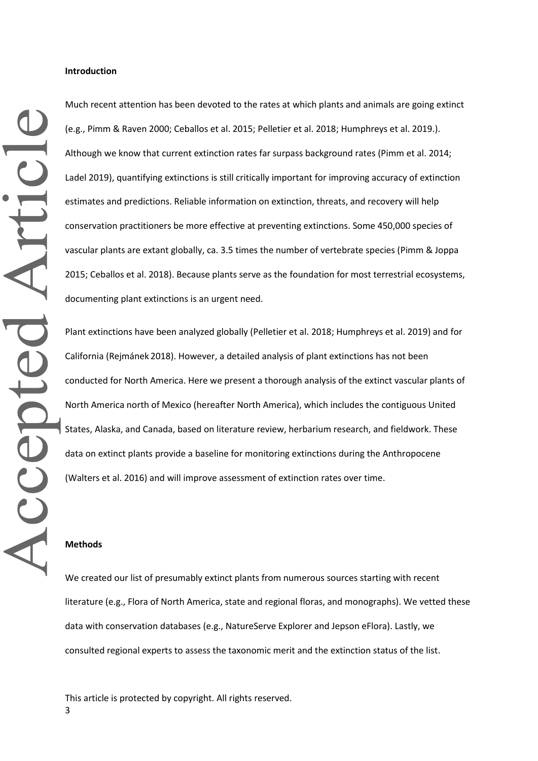Much recent attention has been devoted to the rates at which plants and animals are going extinct (e.g., Pimm & Raven 2000; Ceballos et al. 2015; Pelletier et al. 2018; Humphreys et al. 2019.). Although we know that current extinction rates far surpass background rates (Pimm et al. 2014; Ladel 2019), quantifying extinctions is still critically important for improving accuracy of extinction estimates and predictions. Reliable information on extinction, threats, and recovery will help conservation practitioners be more effective at preventing extinctions. Some 450,000 species of vascular plants are extant globally, ca. 3.5 times the number of vertebrate species (Pimm & Joppa 2015; Ceballos et al. 2018). Because plants serve as the foundation for most terrestrial ecosystems, documenting plant extinctions is an urgent need.

Plant extinctions have been analyzed globally (Pelletier et al. 2018; Humphreys et al. 2019) and for California (Rejmánek 2018). However, a detailed analysis of plant extinctions has not been conducted for North America. Here we present a thorough analysis of the extinct vascular plants of North America north of Mexico (hereafter North America), which includes the contiguous United States, Alaska, and Canada, based on literature review, herbarium research, and fieldwork. These data on extinct plants provide a baseline for monitoring extinctions during the Anthropocene (Walters et al. 2016) and will improve assessment of extinction rates over time.

### **Methods**

We created our list of presumably extinct plants from numerous sources starting with recent literature (e.g., Flora of North America, state and regional floras, and monographs). We vetted these data with conservation databases (e.g., NatureServe Explorer and Jepson eFlora). Lastly, we consulted regional experts to assess the taxonomic merit and the extinction status of the list.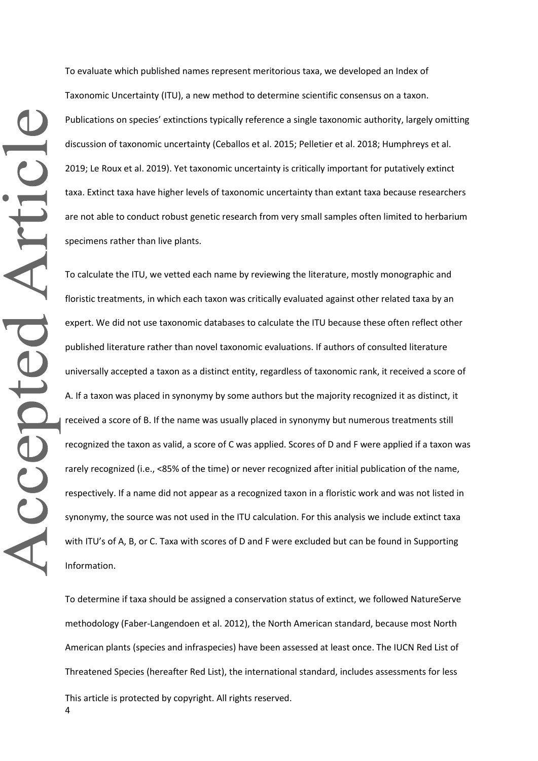To evaluate which published names represent meritorious taxa, we developed an Index of Taxonomic Uncertainty (ITU), a new method to determine scientific consensus on a taxon. Publications on species' extinctions typically reference a single taxonomic authority, largely omitting discussion of taxonomic uncertainty (Ceballos et al. 2015; Pelletier et al. 2018; Humphreys et al. 2019; Le Roux et al. 2019). Yet taxonomic uncertainty is critically important for putatively extinct taxa. Extinct taxa have higher levels of taxonomic uncertainty than extant taxa because researchers are not able to conduct robust genetic research from very small samples often limited to herbarium specimens rather than live plants.

To calculate the ITU, we vetted each name by reviewing the literature, mostly monographic and floristic treatments, in which each taxon was critically evaluated against other related taxa by an expert. We did not use taxonomic databases to calculate the ITU because these often reflect other published literature rather than novel taxonomic evaluations. If authors of consulted literature universally accepted a taxon as a distinct entity, regardless of taxonomic rank, it received a score of A. If a taxon was placed in synonymy by some authors but the majority recognized it as distinct, it received a score of B. If the name was usually placed in synonymy but numerous treatments still recognized the taxon as valid, a score of C was applied. Scores of D and F were applied if a taxon was rarely recognized (i.e., <85% of the time) or never recognized after initial publication of the name, respectively. If a name did not appear as a recognized taxon in a floristic work and was not listed in synonymy, the source was not used in the ITU calculation. For this analysis we include extinct taxa with ITU's of A, B, or C. Taxa with scores of D and F were excluded but can be found in Supporting Information.

This article is protected by copyright. All rights reserved. 4 To determine if taxa should be assigned a conservation status of extinct, we followed NatureServe methodology (Faber-Langendoen et al. 2012), the North American standard, because most North American plants (species and infraspecies) have been assessed at least once. The IUCN Red List of Threatened Species (hereafter Red List), the international standard, includes assessments for less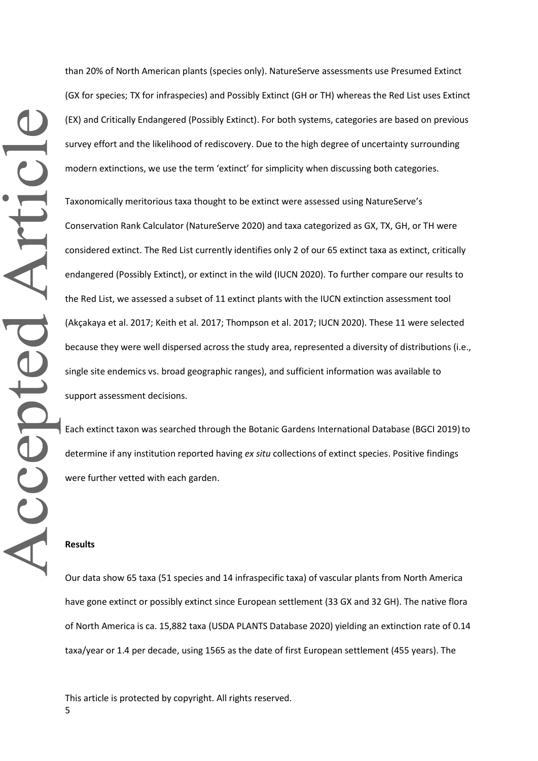than 20% of North American plants (species only). NatureServe assessments use Presumed Extinct (GX for species; TX for infraspecies) and Possibly Extinct (GH or TH) whereas the Red List uses Extinct (EX) and Critically Endangered (Possibly Extinct). For both systems, categories are based on previous survey effort and the likelihood of rediscovery. Due to the high degree of uncertainty surrounding modern extinctions, we use the term 'extinct' for simplicity when discussing both categories.

Taxonomically meritorious taxa thought to be extinct were assessed using NatureServe's Conservation Rank Calculator (NatureServe 2020) and taxa categorized as GX, TX, GH, or TH were considered extinct. The Red List currently identifies only 2 of our 65 extinct taxa as extinct, critically endangered (Possibly Extinct), or extinct in the wild (IUCN 2020). To further compare our results to the Red List, we assessed a subset of 11 extinct plants with the IUCN extinction assessment tool (Akçakaya et al. 2017; Keith et al. 2017; Thompson et al. 2017; IUCN 2020). These 11 were selected because they were well dispersed across the study area, represented a diversity of distributions (i.e., single site endemics vs. broad geographic ranges), and sufficient information was available to support assessment decisions.

Each extinct taxon was searched through the Botanic Gardens International Database (BGCI 2019)to determine if any institution reported having *ex situ* collections of extinct species. Positive findings were further vetted with each garden.

### **Results**

Our data show 65 taxa (51 species and 14 infraspecific taxa) of vascular plants from North America have gone extinct or possibly extinct since European settlement (33 GX and 32 GH). The native flora of North America is ca. 15,882 taxa (USDA PLANTS Database 2020) yielding an extinction rate of 0.14 taxa/year or 1.4 per decade, using 1565 as the date of first European settlement (455 years). The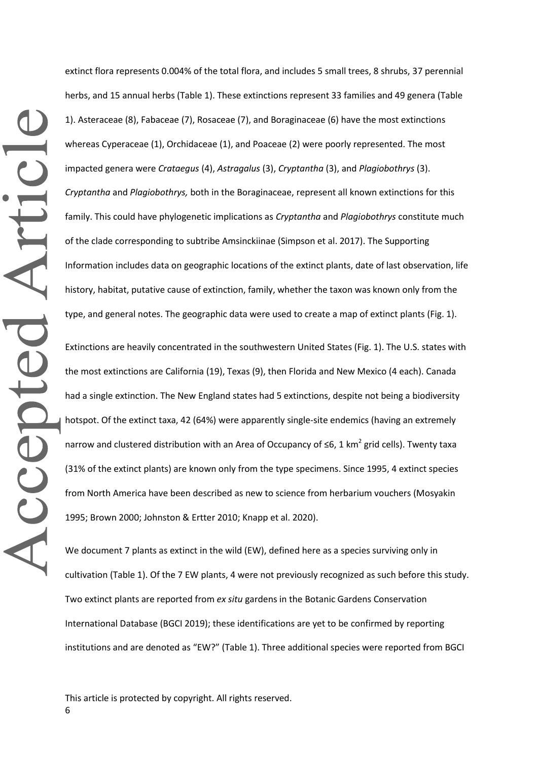extinct flora represents 0.004% of the total flora, and includes 5 small trees, 8 shrubs, 37 perennial herbs, and 15 annual herbs (Table 1). These extinctions represent 33 families and 49 genera (Table 1). Asteraceae (8), Fabaceae (7), Rosaceae (7), and Boraginaceae (6) have the most extinctions whereas Cyperaceae (1), Orchidaceae (1), and Poaceae (2) were poorly represented. The most impacted genera were *Crataegus* (4), *Astragalus* (3), *Cryptantha* (3), and *Plagiobothrys* (3). *Cryptantha* and *Plagiobothrys,* both in the Boraginaceae, represent all known extinctions for this family. This could have phylogenetic implications as *Cryptantha* and *Plagiobothrys* constitute much of the clade corresponding to subtribe Amsinckiinae (Simpson et al. 2017). The Supporting Information includes data on geographic locations of the extinct plants, date of last observation, life history, habitat, putative cause of extinction, family, whether the taxon was known only from the type, and general notes. The geographic data were used to create a map of extinct plants (Fig. 1).

Extinctions are heavily concentrated in the southwestern United States (Fig. 1). The U.S. states with the most extinctions are California (19), Texas (9), then Florida and New Mexico (4 each). Canada had a single extinction. The New England states had 5 extinctions, despite not being a biodiversity hotspot. Of the extinct taxa, 42 (64%) were apparently single-site endemics (having an extremely narrow and clustered distribution with an Area of Occupancy of  $\leq 6$ , 1 km<sup>2</sup> grid cells). Twenty taxa (31% of the extinct plants) are known only from the type specimens. Since 1995, 4 extinct species from North America have been described as new to science from herbarium vouchers (Mosyakin 1995; Brown 2000; Johnston & Ertter 2010; Knapp et al. 2020).

We document 7 plants as extinct in the wild (EW), defined here as a species surviving only in cultivation (Table 1). Of the 7 EW plants, 4 were not previously recognized as such before this study. Two extinct plants are reported from *ex situ* gardens in the Botanic Gardens Conservation International Database (BGCI 2019); these identifications are yet to be confirmed by reporting institutions and are denoted as "EW?" (Table 1). Three additional species were reported from BGCI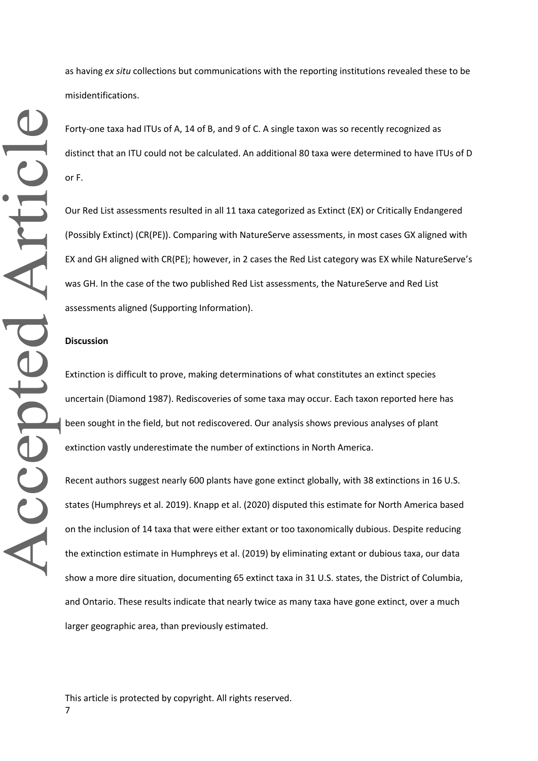as having *ex situ* collections but communications with the reporting institutions revealed these to be misidentifications.

Forty-one taxa had ITUs of A, 14 of B, and 9 of C. A single taxon was so recently recognized as distinct that an ITU could not be calculated. An additional 80 taxa were determined to have ITUs of D or F.

Our Red List assessments resulted in all 11 taxa categorized as Extinct (EX) or Critically Endangered (Possibly Extinct) (CR(PE)). Comparing with NatureServe assessments, in most cases GX aligned with EX and GH aligned with CR(PE); however, in 2 cases the Red List category was EX while NatureServe's was GH. In the case of the two published Red List assessments, the NatureServe and Red List assessments aligned (Supporting Information).

## **Discussion**

Extinction is difficult to prove, making determinations of what constitutes an extinct species uncertain (Diamond 1987). Rediscoveries of some taxa may occur. Each taxon reported here has been sought in the field, but not rediscovered. Our analysis shows previous analyses of plant extinction vastly underestimate the number of extinctions in North America.

Recent authors suggest nearly 600 plants have gone extinct globally, with 38 extinctions in 16 U.S. states (Humphreys et al. 2019). Knapp et al. (2020) disputed this estimate for North America based on the inclusion of 14 taxa that were either extant or too taxonomically dubious. Despite reducing the extinction estimate in Humphreys et al. (2019) by eliminating extant or dubious taxa, our data show a more dire situation, documenting 65 extinct taxa in 31 U.S. states, the District of Columbia, and Ontario. These results indicate that nearly twice as many taxa have gone extinct, over a much larger geographic area, than previously estimated.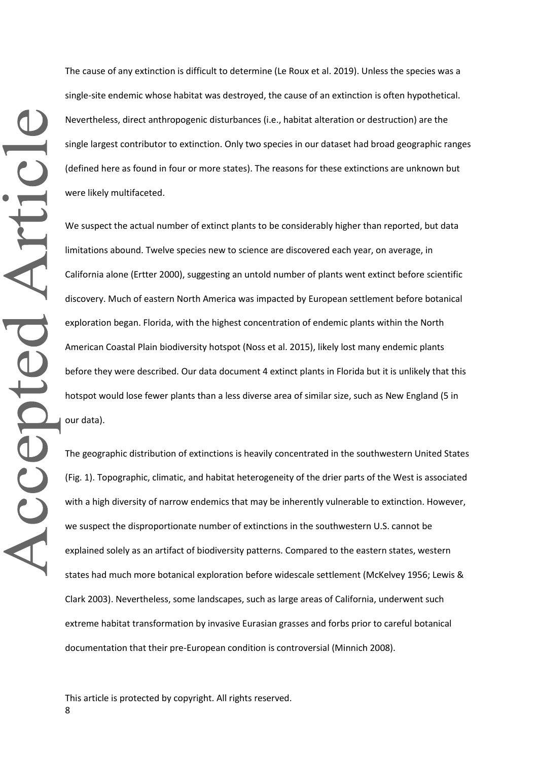The cause of any extinction is difficult to determine (Le Roux et al. 2019). Unless the species was a single-site endemic whose habitat was destroyed, the cause of an extinction is often hypothetical. Nevertheless, direct anthropogenic disturbances (i.e., habitat alteration or destruction) are the single largest contributor to extinction. Only two species in our dataset had broad geographic ranges (defined here as found in four or more states). The reasons for these extinctions are unknown but were likely multifaceted.

We suspect the actual number of extinct plants to be considerably higher than reported, but data limitations abound. Twelve species new to science are discovered each year, on average, in California alone (Ertter 2000), suggesting an untold number of plants went extinct before scientific discovery. Much of eastern North America was impacted by European settlement before botanical exploration began. Florida, with the highest concentration of endemic plants within the North American Coastal Plain biodiversity hotspot (Noss et al. 2015), likely lost many endemic plants before they were described. Our data document 4 extinct plants in Florida but it is unlikely that this hotspot would lose fewer plants than a less diverse area of similar size, such as New England (5 in our data).

The geographic distribution of extinctions is heavily concentrated in the southwestern United States (Fig. 1). Topographic, climatic, and habitat heterogeneity of the drier parts of the West is associated with a high diversity of narrow endemics that may be inherently vulnerable to extinction. However, we suspect the disproportionate number of extinctions in the southwestern U.S. cannot be explained solely as an artifact of biodiversity patterns. Compared to the eastern states, western states had much more botanical exploration before widescale settlement (McKelvey 1956; Lewis & Clark 2003). Nevertheless, some landscapes, such as large areas of California, underwent such extreme habitat transformation by invasive Eurasian grasses and forbs prior to careful botanical documentation that their pre-European condition is controversial (Minnich 2008).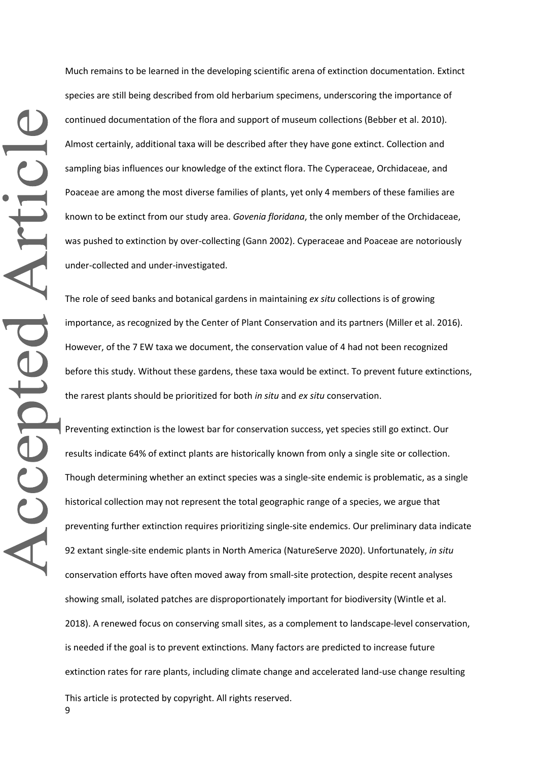9

Much remains to be learned in the developing scientific arena of extinction documentation. Extinct species are still being described from old herbarium specimens, underscoring the importance of continued documentation of the flora and support of museum collections (Bebber et al. 2010). Almost certainly, additional taxa will be described after they have gone extinct. Collection and sampling bias influences our knowledge of the extinct flora. The Cyperaceae, Orchidaceae, and Poaceae are among the most diverse families of plants, yet only 4 members of these families are known to be extinct from our study area. *Govenia floridana*, the only member of the Orchidaceae, was pushed to extinction by over-collecting (Gann 2002). Cyperaceae and Poaceae are notoriously under-collected and under-investigated.

The role of seed banks and botanical gardens in maintaining *ex situ* collections is of growing importance, as recognized by the Center of Plant Conservation and its partners (Miller et al. 2016). However, of the 7 EW taxa we document, the conservation value of 4 had not been recognized before this study. Without these gardens, these taxa would be extinct. To prevent future extinctions, the rarest plants should be prioritized for both *in situ* and *ex situ* conservation.

This article is protected by copyright. All rights reserved. Preventing extinction is the lowest bar for conservation success, yet species still go extinct. Our results indicate 64% of extinct plants are historically known from only a single site or collection. Though determining whether an extinct species was a single-site endemic is problematic, as a single historical collection may not represent the total geographic range of a species, we argue that preventing further extinction requires prioritizing single-site endemics. Our preliminary data indicate 92 extant single-site endemic plants in North America (NatureServe 2020). Unfortunately, *in situ*  conservation efforts have often moved away from small-site protection, despite recent analyses showing small, isolated patches are disproportionately important for biodiversity (Wintle et al. 2018). A renewed focus on conserving small sites, as a complement to landscape-level conservation, is needed if the goal is to prevent extinctions. Many factors are predicted to increase future extinction rates for rare plants, including climate change and accelerated land-use change resulting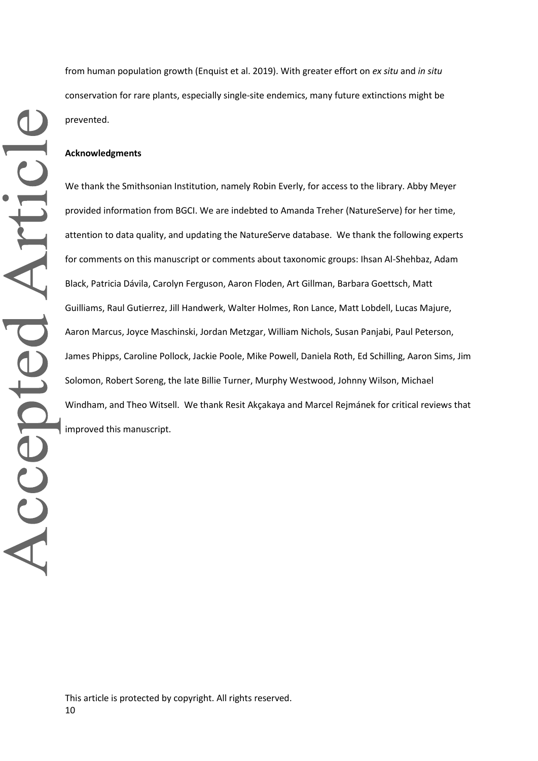from human population growth (Enquist et al. 2019). With greater effort on *ex situ* and *in situ* conservation for rare plants, especially single-site endemics, many future extinctions might be prevented.

# **Acknowledgments**

We thank the Smithsonian Institution, namely Robin Everly, for access to the library. Abby Meyer provided information from BGCI. We are indebted to Amanda Treher (NatureServe) for her time, attention to data quality, and updating the NatureServe database. We thank the following experts for comments on this manuscript or comments about taxonomic groups: Ihsan Al-Shehbaz, Adam Black, Patricia Dávila, Carolyn Ferguson, Aaron Floden, Art Gillman, Barbara Goettsch, Matt Guilliams, Raul Gutierrez, Jill Handwerk, Walter Holmes, Ron Lance, Matt Lobdell, Lucas Majure, Aaron Marcus, Joyce Maschinski, Jordan Metzgar, William Nichols, Susan Panjabi, Paul Peterson, James Phipps, Caroline Pollock, Jackie Poole, Mike Powell, Daniela Roth, Ed Schilling, Aaron Sims, Jim Solomon, Robert Soreng, the late Billie Turner, Murphy Westwood, Johnny Wilson, Michael Windham, and Theo Witsell. We thank Resit Akçakaya and Marcel Rejmánek for critical reviews that improved this manuscript.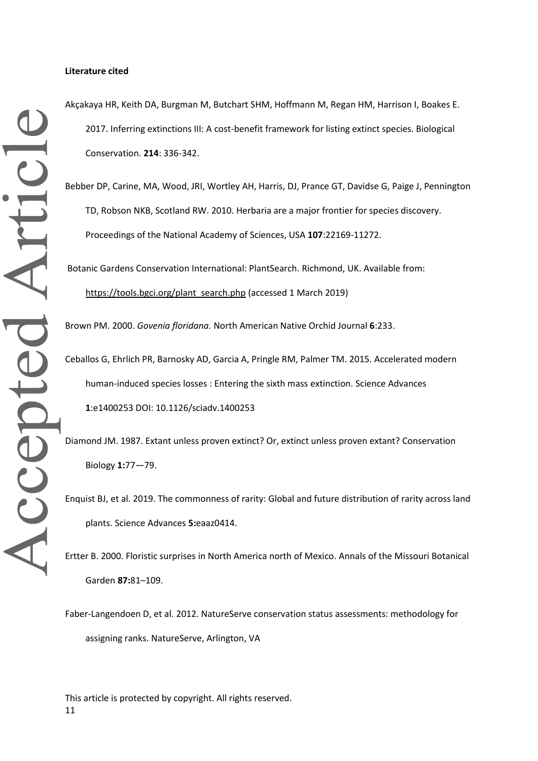### **Literature cited**

Akçakaya HR, Keith DA, Burgman M, Butchart SHM, Hoffmann M, Regan HM, Harrison I, Boakes E. 2017. Inferring extinctions III: A cost-benefit framework for listing extinct species. Biological Conservation. **214**: 336-342.

Bebber DP, Carine, MA, Wood, JRI, Wortley AH, Harris, DJ, Prance GT, Davidse G, Paige J, Pennington TD, Robson NKB, Scotland RW. 2010. Herbaria are a major frontier for species discovery. Proceedings of the National Academy of Sciences, USA **107**:22169-11272.

Botanic Gardens Conservation International: PlantSearch. Richmond, UK. Available from:

[https://tools.bgci.org/plant\\_search.php](https://tools.bgci.org/plant_search.php) (accessed 1 March 2019)

Brown PM. 2000. *Govenia floridana.* North American Native Orchid Journal **6**:233.

Ceballos G, Ehrlich PR, Barnosky AD, Garcia A, Pringle RM, Palmer TM. 2015. Accelerated modern human-induced species losses : Entering the sixth mass extinction. Science Advances **1**:e1400253 DOI: 10.1126/sciadv.1400253

Diamond JM. 1987. Extant unless proven extinct? Or, extinct unless proven extant? Conservation Biology **1:**77—79.

Enquist BJ, et al. 2019. The commonness of rarity: Global and future distribution of rarity across land plants. Science Advances **5:**eaaz0414.

Ertter B. 2000. Floristic surprises in North America north of Mexico. Annals of the Missouri Botanical Garden **87:**81–109.

Faber-Langendoen D, et al. 2012. NatureServe conservation status assessments: methodology for assigning ranks. NatureServe, Arlington, VA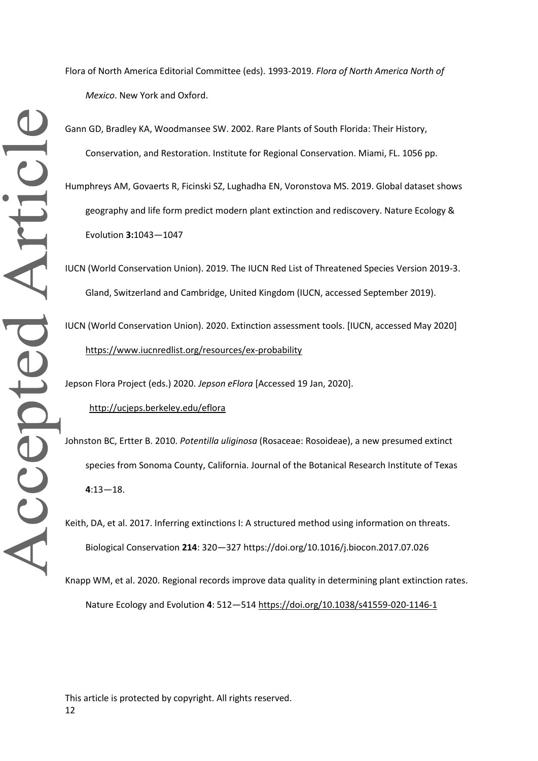Flora of North America Editorial Committee (eds). 1993-2019. *Flora of North America North of Mexico*. New York and Oxford.

Gann GD, Bradley KA, Woodmansee SW. 2002. Rare Plants of South Florida: Their History, Conservation, and Restoration. Institute for Regional Conservation. Miami, FL. 1056 pp.

Humphreys AM, Govaerts R, Ficinski SZ, Lughadha EN, Voronstova MS. 2019. Global dataset shows geography and life form predict modern plant extinction and rediscovery. Nature Ecology & Evolution **3:**1043—1047

IUCN (World Conservation Union). 2019. The IUCN Red List of Threatened Species Version 2019-3. Gland, Switzerland and Cambridge, United Kingdom (IUCN, accessed September 2019).

IUCN (World Conservation Union). 2020. Extinction assessment tools. [IUCN, accessed May 2020] <https://www.iucnredlist.org/resources/ex-probability>

Jepson Flora Project (eds.) 2020. *Jepson eFlora* [Accessed 19 Jan, 2020].

<http://ucjeps.berkeley.edu/eflora>

Johnston BC, Ertter B. 2010. *Potentilla uliginosa* (Rosaceae: Rosoideae), a new presumed extinct species from Sonoma County, California. Journal of the Botanical Research Institute of Texas **4**:13—18.

Keith, DA, et al. 2017. Inferring extinctions I: A structured method using information on threats. Biological Conservation **214**: 320—327 https://doi.org/10.1016/j.biocon.2017.07.026

Knapp WM, et al. 2020. Regional records improve data quality in determining plant extinction rates. Nature Ecology and Evolution **4**: 512—514 <https://doi.org/10.1038/s41559-020-1146-1>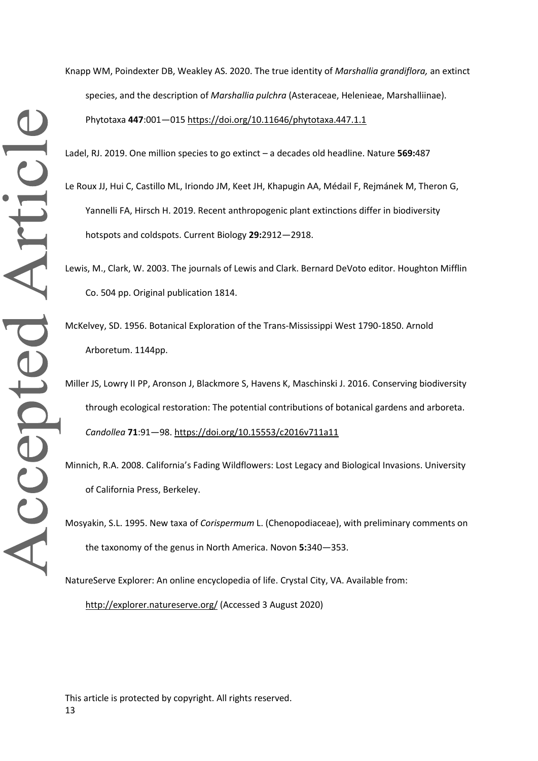Knapp WM, Poindexter DB, Weakley AS. 2020. The true identity of *Marshallia grandiflora,* an extinct species, and the description of *Marshallia pulchra* (Asteraceae, Helenieae, Marshalliinae). Phytotaxa **447**:001—01[5 https://doi.org/10.11646/phytotaxa.447.1.1](https://doi.org/10.11646/phytotaxa.447.1.1)

Ladel, RJ. 2019. One million species to go extinct – a decades old headline. Nature **569:**487

Le Roux JJ, Hui C, Castillo ML, Iriondo JM, Keet JH, Khapugin AA, Médail F, Rejmánek M, Theron G, Yannelli FA, Hirsch H. 2019. Recent anthropogenic plant extinctions differ in biodiversity hotspots and coldspots. Current Biology **29:**2912—2918.

Lewis, M., Clark, W. 2003. The journals of Lewis and Clark. Bernard DeVoto editor. Houghton Mifflin Co. 504 pp. Original publication 1814.

McKelvey, SD. 1956. Botanical Exploration of the Trans-Mississippi West 1790-1850. Arnold Arboretum. 1144pp.

Miller JS, Lowry II PP, Aronson J, Blackmore S, Havens K, Maschinski J. 2016. Conserving biodiversity through ecological restoration: The potential contributions of botanical gardens and arboreta. *Candollea* **71**:91—98.<https://doi.org/10.15553/c2016v711a11>

Minnich, R.A. 2008. California's Fading Wildflowers: Lost Legacy and Biological Invasions. University of California Press, Berkeley.

Mosyakin, S.L. 1995. New taxa of *Corispermum* L. (Chenopodiaceae), with preliminary comments on the taxonomy of the genus in North America. Novon **5:**340—353.

NatureServe Explorer: An online encyclopedia of life. Crystal City, VA. Available from: <http://explorer.natureserve.org/> (Accessed 3 August 2020)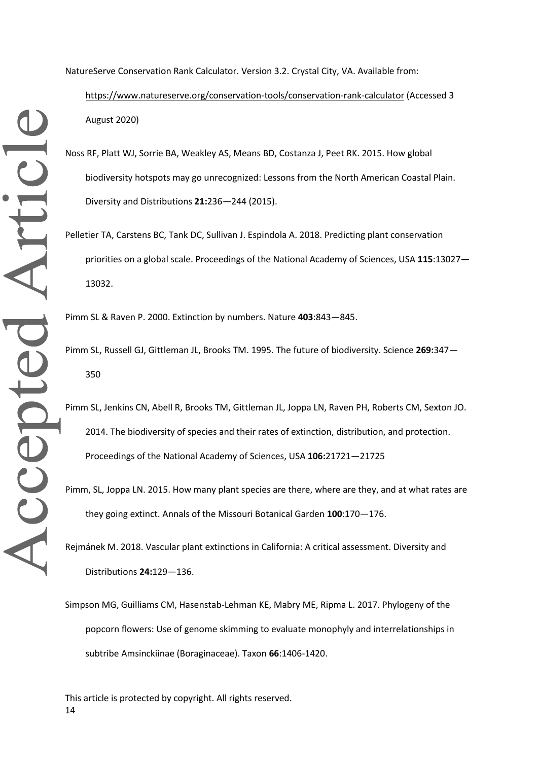NatureServe Conservation Rank Calculator. Version 3.2. Crystal City, VA. Available from:

<https://www.natureserve.org/conservation-tools/conservation-rank-calculator> (Accessed 3 August 2020)

- Noss RF, Platt WJ, Sorrie BA, Weakley AS, Means BD, Costanza J, Peet RK. 2015. How global biodiversity hotspots may go unrecognized: Lessons from the North American Coastal Plain. Diversity and Distributions **21:**236—244 (2015).
- Pelletier TA, Carstens BC, Tank DC, Sullivan J. Espindola A. 2018. Predicting plant conservation priorities on a global scale. Proceedings of the National Academy of Sciences, USA **115**:13027— 13032.

Pimm SL & Raven P. 2000. Extinction by numbers. Nature **403**:843—845.

Pimm SL, Russell GJ, Gittleman JL, Brooks TM. 1995. The future of biodiversity. Science **269:**347— 350

Pimm SL, Jenkins CN, Abell R, Brooks TM, Gittleman JL, Joppa LN, Raven PH, Roberts CM, Sexton JO. 2014. The biodiversity of species and their rates of extinction, distribution, and protection. Proceedings of the National Academy of Sciences, USA **106:**21721—21725

Pimm, SL, Joppa LN. 2015. How many plant species are there, where are they, and at what rates are they going extinct. Annals of the Missouri Botanical Garden **100**:170—176.

Rejmánek M. 2018. Vascular plant extinctions in California: A critical assessment. Diversity and Distributions **24:**129—136.

Simpson MG, Guilliams CM, Hasenstab-Lehman KE, Mabry ME, Ripma L. 2017. Phylogeny of the popcorn flowers: Use of genome skimming to evaluate monophyly and interrelationships in subtribe Amsinckiinae (Boraginaceae). Taxon **66**:1406-1420.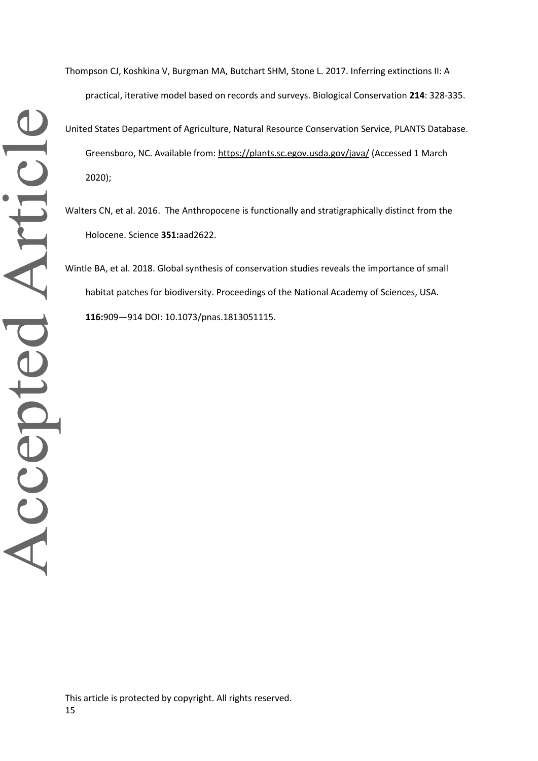Thompson CJ, Koshkina V, Burgman MA, Butchart SHM, Stone L. 2017. Inferring extinctions II: A practical, iterative model based on records and surveys. Biological Conservation **214**: 328-335.

United States Department of Agriculture, Natural Resource Conservation Service, PLANTS Database. Greensboro, NC. Available from:<https://plants.sc.egov.usda.gov/java/> (Accessed 1 March 2020);

Walters CN, et al. 2016. The Anthropocene is functionally and stratigraphically distinct from the Holocene. Science **351:**aad2622.

Wintle BA, et al. 2018. Global synthesis of conservation studies reveals the importance of small habitat patches for biodiversity. Proceedings of the National Academy of Sciences, USA. **116:**909—914 DOI: 10.1073/pnas.1813051115.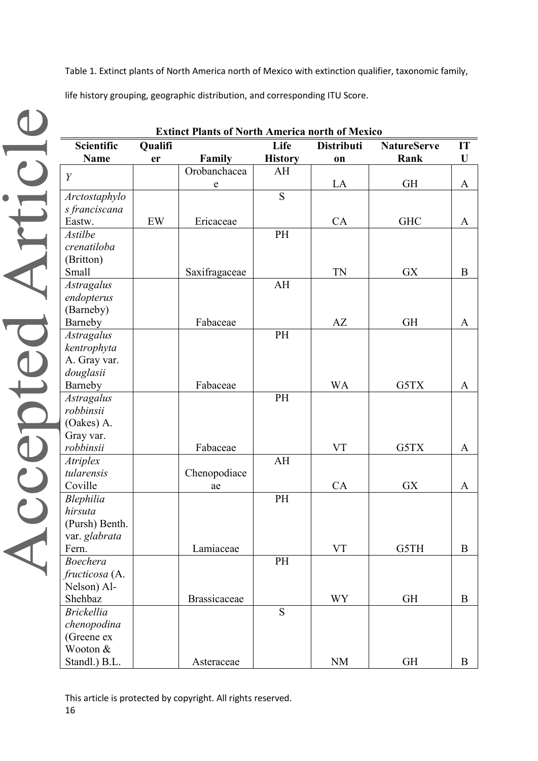Table 1. Extinct plants of North America north of Mexico with extinction qualifier, taxonomic family,

life history grouping, geographic distribution, and corresponding ITU Score.

| <b>Extinct Plants of North America north of Mexico</b> |         |                     |                |                   |                    |          |
|--------------------------------------------------------|---------|---------------------|----------------|-------------------|--------------------|----------|
| Scientific                                             | Qualifi |                     | Life           | <b>Distributi</b> | <b>NatureServe</b> | IT       |
| <b>Name</b>                                            | er      | <b>Family</b>       | <b>History</b> | on                | Rank               | U        |
|                                                        |         | Orobanchacea        | AH             |                   |                    |          |
| Y                                                      |         | e                   |                | LA                | <b>GH</b>          | A        |
| Arctostaphylo                                          |         |                     | S              |                   |                    |          |
| s franciscana                                          |         |                     |                |                   |                    |          |
| Eastw.                                                 | EW      | Ericaceae           |                | CA                | <b>GHC</b>         | A        |
| Astilbe                                                |         |                     | PH             |                   |                    |          |
| crenatiloba                                            |         |                     |                |                   |                    |          |
| (Britton)                                              |         |                     |                |                   |                    |          |
| Small                                                  |         | Saxifragaceae       |                | <b>TN</b>         | <b>GX</b>          | B        |
| <b>Astragalus</b>                                      |         |                     | AH             |                   |                    |          |
| endopterus                                             |         |                     |                |                   |                    |          |
| (Barneby)                                              |         |                     |                |                   |                    |          |
| Barneby                                                |         | Fabaceae            |                | AZ                | <b>GH</b>          | A        |
| <b>Astragalus</b>                                      |         |                     | <b>PH</b>      |                   |                    |          |
| kentrophyta                                            |         |                     |                |                   |                    |          |
| A. Gray var.                                           |         |                     |                |                   |                    |          |
| douglasii                                              |         |                     |                |                   |                    |          |
| Barneby                                                |         | Fabaceae            |                | <b>WA</b>         | G5TX               | A        |
| Astragalus                                             |         |                     | PH             |                   |                    |          |
| robbinsii                                              |         |                     |                |                   |                    |          |
| (Oakes) A.                                             |         |                     |                |                   |                    |          |
| Gray var.                                              |         |                     |                |                   |                    |          |
| robbinsii                                              |         | Fabaceae            |                | <b>VT</b>         | G5TX               | A        |
| <b>Atriplex</b>                                        |         |                     | AH             |                   |                    |          |
| tularensis                                             |         | Chenopodiace        |                |                   |                    |          |
| Coville                                                |         | ae                  |                | CA                | <b>GX</b>          | A        |
| Blephilia                                              |         |                     | PH             |                   |                    |          |
| hirsuta                                                |         |                     |                |                   |                    |          |
| (Pursh) Benth.                                         |         |                     |                |                   |                    |          |
| var. glabrata                                          |         |                     |                |                   |                    |          |
| Fern.                                                  |         | Lamiaceae           |                | <b>VT</b>         | G5TH               | $\bf{B}$ |
| <b>Boechera</b>                                        |         |                     | PH             |                   |                    |          |
| fructicosa (A.                                         |         |                     |                |                   |                    |          |
| Nelson) Al-                                            |         |                     |                |                   |                    |          |
| Shehbaz                                                |         | <b>Brassicaceae</b> |                | WY                | <b>GH</b>          | B        |
| <b>Brickellia</b>                                      |         |                     | $\overline{S}$ |                   |                    |          |
| chenopodina                                            |         |                     |                |                   |                    |          |
| (Greene ex                                             |         |                     |                |                   |                    |          |
| Wooton &                                               |         |                     |                |                   |                    |          |
| Standl.) B.L.                                          |         | Asteraceae          |                | $\rm{NM}$         | $\rm GH$           | $\bf{B}$ |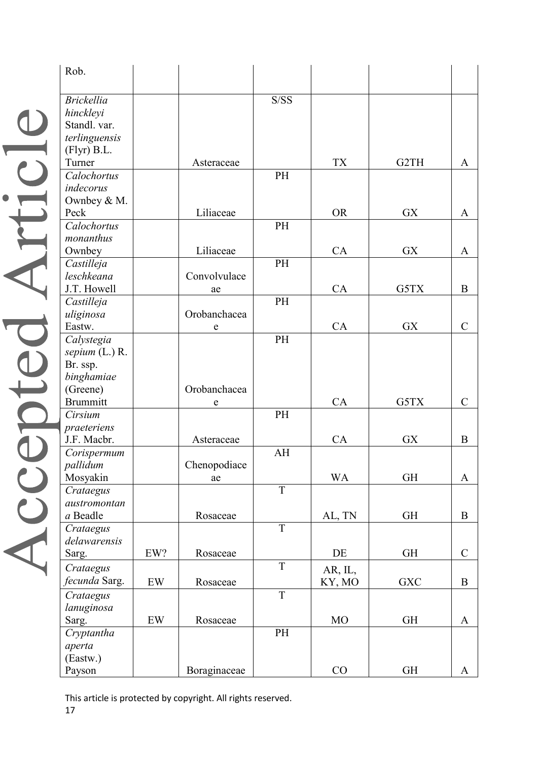| Rob.                                                               |     |                    |                |                   |                   |               |
|--------------------------------------------------------------------|-----|--------------------|----------------|-------------------|-------------------|---------------|
| Brickellia<br>hinckleyi<br>Standl. var.<br>terlinguensis           |     |                    | S/SS           |                   |                   |               |
| (Flyr) B.L.<br>Turner                                              |     | Asteraceae         |                | <b>TX</b>         | G <sub>2</sub> TH | A             |
| Calochortus<br>indecorus<br>Ownbey & M.                            |     |                    | PH             |                   |                   |               |
| Peck                                                               |     | Liliaceae          |                | <b>OR</b>         | <b>GX</b>         | A             |
| Calochortus<br>monanthus                                           |     |                    | PH             |                   |                   |               |
| Ownbey                                                             |     | Liliaceae          |                | CA                | <b>GX</b>         | A             |
| Castilleja<br>leschkeana<br>J.T. Howell                            |     | Convolvulace<br>ae | <b>PH</b>      | CA                | G5TX              | B             |
| Castilleja<br>uliginosa                                            |     | Orobanchacea       | PH             |                   |                   |               |
| Eastw.                                                             |     | e                  |                | CA                | <b>GX</b>         | $\mathcal{C}$ |
| Calystegia<br>sepium (L.) R.<br>Br. ssp.<br>binghamiae<br>(Greene) |     | Orobanchacea       | <b>PH</b>      |                   |                   |               |
| <b>Brummitt</b>                                                    |     | e                  |                | CA                | G5TX              | $\mathcal{C}$ |
| Cirsium<br>praeteriens                                             |     |                    | PH             |                   |                   |               |
| J.F. Macbr.                                                        |     | Asteraceae         |                | CA                | <b>GX</b>         | B             |
| Corispermum<br>pallidum<br>Mosyakin                                |     | Chenopodiace<br>ae | AH             | <b>WA</b>         | <b>GH</b>         | A             |
| Crataegus<br>austromontan<br>a Beadle                              |     | Rosaceae           | $\overline{T}$ | AL, TN            | <b>GH</b>         | B             |
| Crataegus<br>delawarensis                                          |     |                    | $\overline{T}$ |                   |                   |               |
| Sarg.                                                              | EW? | Rosaceae           |                | DE                | <b>GH</b>         | $\mathcal{C}$ |
| Crataegus<br>fecunda Sarg.                                         | EW  | Rosaceae           | T              | AR, IL,<br>KY, MO | <b>GXC</b>        | B             |
| Crataegus<br>lanuginosa                                            |     |                    | T              |                   |                   |               |
| Sarg.<br>Cryptantha                                                | EW  | Rosaceae           | PH             | <b>MO</b>         | <b>GH</b>         | A             |
| aperta<br>(Eastw.)<br>Payson                                       |     | Boraginaceae       |                | CO                | <b>GH</b>         | A             |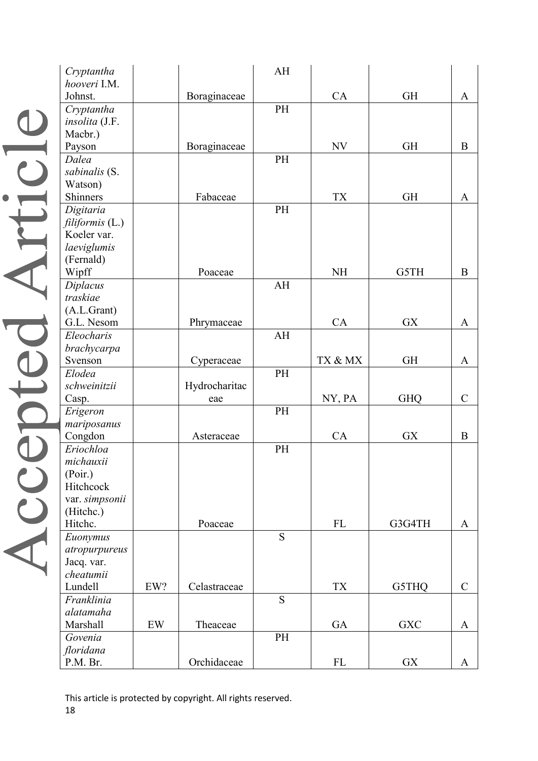| Cryptantha              |     |               | AH             |                  |            |               |
|-------------------------|-----|---------------|----------------|------------------|------------|---------------|
| hooveri I.M.            |     |               |                |                  |            |               |
| Johnst.                 |     | Boraginaceae  |                | CA               | <b>GH</b>  | A             |
| Cryptantha              |     |               | PH             |                  |            |               |
| insolita (J.F.          |     |               |                |                  |            |               |
| Macbr.)                 |     |               |                |                  |            |               |
| Payson                  |     | Boraginaceae  |                | NV               | <b>GH</b>  | B             |
| Dalea                   |     |               | PH             |                  |            |               |
| sabinalis (S.           |     |               |                |                  |            |               |
| Watson)                 |     |               |                |                  |            |               |
| Shinners                |     | Fabaceae      |                | <b>TX</b>        | <b>GH</b>  | A             |
| Digitaria               |     |               | PH             |                  |            |               |
| filiformis (L.)         |     |               |                |                  |            |               |
| Koeler var.             |     |               |                |                  |            |               |
| laeviglumis             |     |               |                |                  |            |               |
| (Fernald)               |     |               |                |                  |            |               |
| Wipff                   |     | Poaceae       |                | <b>NH</b>        | G5TH       | B             |
| Diplacus                |     |               | AH             |                  |            |               |
| traskiae                |     |               |                |                  |            |               |
| (A.L.Grant)             |     |               |                |                  |            |               |
| G.L. Nesom              |     | Phrymaceae    |                | CA               | <b>GX</b>  | A             |
| Eleocharis              |     |               | AH             |                  |            |               |
| brachycarpa             |     |               |                |                  |            |               |
| Svenson                 |     | Cyperaceae    |                | TX & MX          | GH         | A             |
| Elodea                  |     |               | PH             |                  |            |               |
| schweinitzii            |     | Hydrocharitac |                |                  |            |               |
| Casp.                   |     | eae           |                | NY, PA           | <b>GHQ</b> | $\mathcal{C}$ |
| Erigeron                |     |               | PH             |                  |            |               |
| mariposanus             |     |               |                |                  |            |               |
| Congdon                 |     | Asteraceae    |                | CA               | GX         | B             |
| $\overline{E}$ riochloa |     |               | PH             |                  |            |               |
|                         |     |               |                |                  |            |               |
| michauxii               |     |               |                |                  |            |               |
| (Poir.)                 |     |               |                |                  |            |               |
| Hitchcock               |     |               |                |                  |            |               |
| var. simpsonii          |     |               |                |                  |            |               |
| (Hitchc.)               |     |               |                |                  |            |               |
| Hitchc.                 |     | Poaceae       |                | FL               | G3G4TH     | A             |
| Euonymus                |     |               | S              |                  |            |               |
| atropurpureus           |     |               |                |                  |            |               |
| Jacq. var.              |     |               |                |                  |            |               |
| cheatumii               |     |               |                |                  |            |               |
| Lundell                 | EW? | Celastraceae  |                | ${\rm T}{\rm X}$ | G5THQ      | $\mathcal{C}$ |
| Franklinia              |     |               | $\overline{S}$ |                  |            |               |
| alatamaha               |     |               |                |                  |            |               |
| Marshall                | EW  | Theaceae      |                | GA               | <b>GXC</b> | A             |
| Govenia                 |     |               | PH             |                  |            |               |
| floridana               |     |               |                |                  |            |               |
| P.M. Br.                |     | Orchidaceae   |                | FL               | GX         | A             |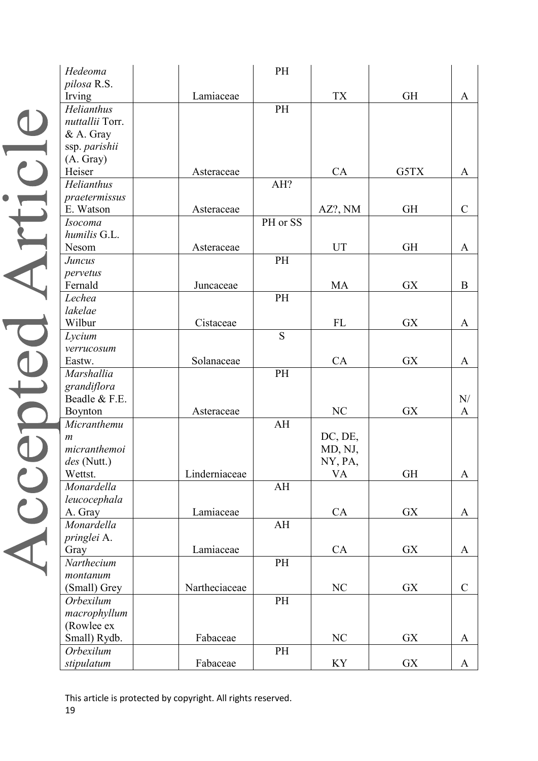| Hedeoma          |               | PH             |           |           |               |
|------------------|---------------|----------------|-----------|-----------|---------------|
| pilosa R.S.      |               |                |           |           |               |
| Irving           | Lamiaceae     |                | <b>TX</b> | <b>GH</b> | A             |
| Helianthus       |               | PH             |           |           |               |
| nuttallii Torr.  |               |                |           |           |               |
| & A. Gray        |               |                |           |           |               |
| ssp. parishii    |               |                |           |           |               |
| (A. Gray)        |               |                |           |           |               |
| Heiser           | Asteraceae    |                | CA        | G5TX      | A             |
| Helianthus       |               | AH?            |           |           |               |
|                  |               |                |           |           |               |
| praetermissus    |               |                |           | <b>GH</b> |               |
| E. Watson        | Asteraceae    |                | AZ?, NM   |           | $\mathcal{C}$ |
| <b>Isocoma</b>   |               | PH or SS       |           |           |               |
| humilis G.L.     |               |                |           |           |               |
| Nesom            | Asteraceae    |                | <b>UT</b> | <b>GH</b> | A             |
| Juncus           |               | PH             |           |           |               |
| pervetus         |               |                |           |           |               |
| Fernald          | Juncaceae     |                | <b>MA</b> | <b>GX</b> | B             |
| Lechea           |               | PH             |           |           |               |
| lakelae          |               |                |           |           |               |
| Wilbur           | Cistaceae     |                | FL        | <b>GX</b> | A             |
| Lycium           |               | $\overline{S}$ |           |           |               |
| verrucosum       |               |                |           |           |               |
| Eastw.           | Solanaceae    |                | CA        | <b>GX</b> | A             |
| Marshallia       |               | PH             |           |           |               |
|                  |               |                |           |           |               |
| grandiflora      |               |                |           |           |               |
| Beadle & F.E.    |               |                |           |           | N/            |
| Boynton          | Asteraceae    |                | NC        | <b>GX</b> | A             |
| Micranthemu      |               | AH             |           |           |               |
| $\boldsymbol{m}$ |               |                | DC, DE,   |           |               |
| micranthemoi     |               |                | MD, NJ,   |           |               |
| des (Nutt.)      |               |                | NY, PA,   |           |               |
| Wettst.          | Linderniaceae |                | VA        | GH        | A             |
| Monardella       |               | AH             |           |           |               |
| leucocephala     |               |                |           |           |               |
| A. Gray          | Lamiaceae     |                | CA        | GX        | $\mathbf{A}$  |
| Monardella       |               | AH             |           |           |               |
| pringlei A.      |               |                |           |           |               |
| Gray             | Lamiaceae     |                | CA        | <b>GX</b> | A             |
| Narthecium       |               | PH             |           |           |               |
| montanum         |               |                |           |           |               |
|                  | Nartheciaceae |                | NC        | GX        | $\mathcal{C}$ |
| (Small) Grey     |               |                |           |           |               |
| Orbexilum        |               | PH             |           |           |               |
| macrophyllum     |               |                |           |           |               |
| (Rowlee ex       |               |                |           |           |               |
| Small) Rydb.     | Fabaceae      |                | NC        | <b>GX</b> | A             |
| Orbexilum        |               | PH             |           |           |               |
| stipulatum       | Fabaceae      |                | KY        | <b>GX</b> | A             |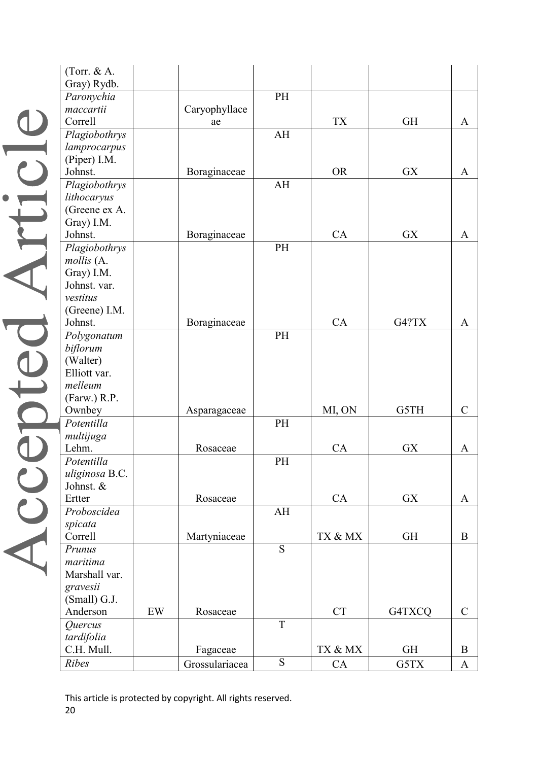| (Torr. $& A$ .    |    |                |                |           |           |               |
|-------------------|----|----------------|----------------|-----------|-----------|---------------|
| Gray) Rydb.       |    |                |                |           |           |               |
| Paronychia        |    |                | PH             |           |           |               |
| maccartii         |    | Caryophyllace  |                |           |           |               |
| Correll           |    | ae             |                | <b>TX</b> | <b>GH</b> | A             |
| Plagiobothrys     |    |                | AH             |           |           |               |
| lamprocarpus      |    |                |                |           |           |               |
| (Piper) I.M.      |    |                |                |           |           |               |
| Johnst.           |    | Boraginaceae   |                | <b>OR</b> | <b>GX</b> | A             |
| Plagiobothrys     |    |                | AH             |           |           |               |
| lithocaryus       |    |                |                |           |           |               |
| (Greene ex A.     |    |                |                |           |           |               |
| Gray) I.M.        |    |                |                |           |           |               |
| Johnst.           |    | Boraginaceae   |                | CA        | <b>GX</b> | A             |
|                   |    |                | PH             |           |           |               |
| Plagiobothrys     |    |                |                |           |           |               |
| <i>mollis</i> (A. |    |                |                |           |           |               |
| Gray) I.M.        |    |                |                |           |           |               |
| Johnst. var.      |    |                |                |           |           |               |
| vestitus          |    |                |                |           |           |               |
| (Greene) I.M.     |    |                |                |           |           |               |
| Johnst.           |    | Boraginaceae   |                | CA        | G4?TX     | A             |
| Polygonatum       |    |                | PH             |           |           |               |
| biflorum          |    |                |                |           |           |               |
| (Walter)          |    |                |                |           |           |               |
| Elliott var.      |    |                |                |           |           |               |
| melleum           |    |                |                |           |           |               |
| (Farw.) R.P.      |    |                |                |           |           |               |
| Ownbey            |    | Asparagaceae   |                | MI, ON    | G5TH      | $\mathcal{C}$ |
| Potentilla        |    |                | PH             |           |           |               |
| multijuga         |    |                |                |           |           |               |
| Lehm.             |    | Rosaceae       |                | CA        | <b>GX</b> | A             |
| Potentilla        |    |                | PH             |           |           |               |
| uliginosa B.C.    |    |                |                |           |           |               |
| Johnst. &         |    |                |                |           |           |               |
| Ertter            |    | Rosaceae       |                | CA        | <b>GX</b> | $\mathbf{A}$  |
| Proboscidea       |    |                | AH             |           |           |               |
| spicata           |    |                |                |           |           |               |
| Correll           |    | Martyniaceae   |                | TX & MX   | <b>GH</b> | B             |
| Prunus            |    |                | S              |           |           |               |
| maritima          |    |                |                |           |           |               |
| Marshall var.     |    |                |                |           |           |               |
| gravesii          |    |                |                |           |           |               |
| (Small) G.J.      |    |                |                |           |           |               |
| Anderson          | EW | Rosaceae       |                | <b>CT</b> | G4TXCQ    | $\mathcal{C}$ |
| Quercus           |    |                | $\overline{T}$ |           |           |               |
| tardifolia        |    |                |                |           |           |               |
| C.H. Mull.        |    | Fagaceae       |                | TX & MX   | <b>GH</b> | B             |
|                   |    |                | ${\bf S}$      |           |           |               |
| Ribes             |    | Grossulariacea |                | CA        | G5TX      | A             |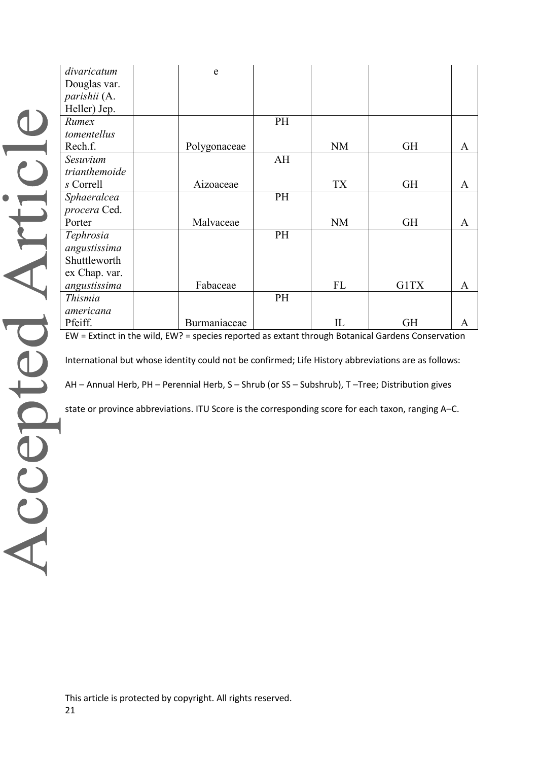| divaricatum         | e            |    |           |             |   |
|---------------------|--------------|----|-----------|-------------|---|
| Douglas var.        |              |    |           |             |   |
| parishii (A.        |              |    |           |             |   |
| Heller) Jep.        |              |    |           |             |   |
| Rumex               |              | PH |           |             |   |
| tomentellus         |              |    |           |             |   |
| Rech.f.             | Polygonaceae |    | <b>NM</b> | <b>GH</b>   | A |
| Sesuvium            |              | AH |           |             |   |
| trianthemoide       |              |    |           |             |   |
| s Correll           | Aizoaceae    |    | <b>TX</b> | <b>GH</b>   | A |
| Sphaeralcea         |              | PH |           |             |   |
| <i>procera</i> Ced. |              |    |           |             |   |
| Porter              | Malvaceae    |    | <b>NM</b> | <b>GH</b>   | A |
| Tephrosia           |              | PH |           |             |   |
| angustissima        |              |    |           |             |   |
| Shuttleworth        |              |    |           |             |   |
| ex Chap. var.       |              |    |           |             |   |
| angustissima        | Fabaceae     |    | FL        | <b>G1TX</b> | A |
| <b>Thismia</b>      |              | PH |           |             |   |
| americana           |              |    |           |             |   |
| Pfeiff.             | Burmaniaceae |    | IL        | <b>GH</b>   | A |
|                     |              |    |           |             |   |

EW = Extinct in the wild, EW? = species reported as extant through Botanical Gardens Conservation

International but whose identity could not be confirmed; Life History abbreviations are as follows:

AH – Annual Herb, PH – Perennial Herb, S – Shrub (or SS – Subshrub), T –Tree; Distribution gives

state or province abbreviations. ITU Score is the corresponding score for each taxon, ranging A–C.